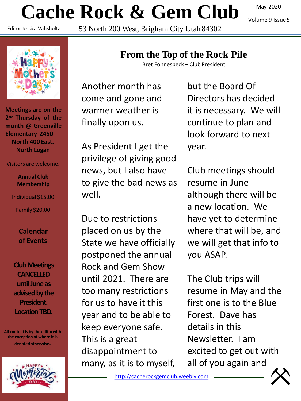# **Cache Rock & Gem Club**

Editor Jessica Vahsholtz

53 North 200 West, Brigham City Utah 84302

May 2020

Volume 9 Issue5



**Meetings are on the 2nd Thursday of the month @ Greenville Elementary 2450 North 400 East. North Logan**

#### Visitors are welcome.

**Annual Club Membership**

Individual \$15.00

Family \$20.00

**Calendar of Events**

**Club Meetings CANCELLED until June as advised by the President. Location TBD.**

**All content is by the editorwith the exception of where it is denotedotherwise.**



### **From the Top of the Rock Pile**

Bret Fonnesbeck – Club President

Another month has come and gone and warmer weather is finally upon us.

As President I get the privilege of giving good news, but I also have to give the bad news as well.

Due to restrictions placed on us by the State we have officially postponed the annual Rock and Gem Show until 2021. There are too many restrictions for us to have it this year and to be able to keep everyone safe. This is a great disappointment to many, as it is to myself,

but the Board Of Directors has decided it is necessary. We will continue to plan and look forward to next year.

Club meetings should resume in June although there will be a new location. We have yet to determine where that will be, and we will get that info to you ASAP.

The Club trips will resume in May and the first one is to the Blue Forest. Dave has details in this Newsletter. I am excited to get out with all of you again and

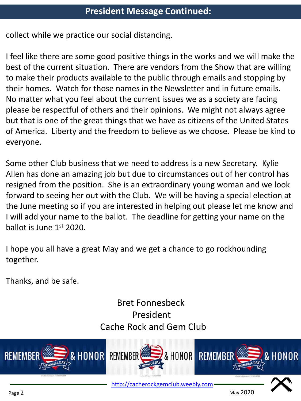collect while we practice our social distancing.

I feel like there are some good positive things in the works and we will make the best of the current situation. There are vendors from the Show that are willing to make their products available to the public through emails and stopping by their homes. Watch for those names in the Newsletter and in future emails. No matter what you feel about the current issues we as a society are facing please be respectful of others and their opinions. We might not always agree but that is one of the great things that we have as citizens of the United States of America. Liberty and the freedom to believe as we choose. Please be kind to everyone.

Some other Club business that we need to address is a new Secretary. Kylie Allen has done an amazing job but due to circumstances out of her control has resigned from the position. She is an extraordinary young woman and we look forward to seeing her out with the Club. We will be having a special election at the June meeting so if you are interested in helping out please let me know and I will add your name to the ballot. The deadline for getting your name on the ballot is June  $1<sup>st</sup>$  2020.

I hope you all have a great May and we get a chance to go rockhounding together.

Thanks, and be safe.

### Bret Fonnesbeck President Cache Rock and Gem Club

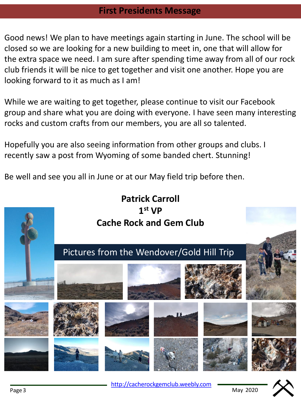### **First Presidents Message**

Good news! We plan to have meetings again starting in June. The school will be closed so we are looking for a new building to meet in, one that will allow for the extra space we need. I am sure after spending time away from all of our rock club friends it will be nice to get together and visit one another. Hope you are looking forward to it as much as I am!

While we are waiting to get together, please continue to visit our Facebook group and share what you are doing with everyone. I have seen many interesting rocks and custom crafts from our members, you are all so talented.

Hopefully you are also seeing information from other groups and clubs. I recently saw a post from Wyoming of some banded chert. Stunning!

Be well and see you all in June or at our May field trip before then.

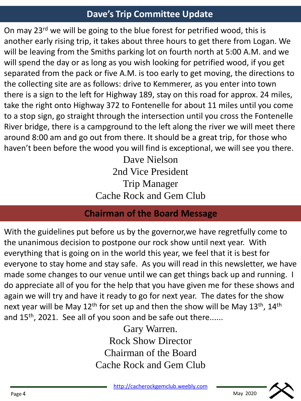### **Dave's Trip Committee Update**

On may 23<sup>rd</sup> we will be going to the blue forest for petrified wood, this is another early rising trip, it takes about three hours to get there from Logan. We will be leaving from the Smiths parking lot on fourth north at 5:00 A.M. and we will spend the day or as long as you wish looking for petrified wood, if you get separated from the pack or five A.M. is too early to get moving, the directions to the collecting site are as follows: drive to Kemmerer, as you enter into town there is a sign to the left for Highway 189, stay on this road for approx. 24 miles, take the right onto Highway 372 to Fontenelle for about 11 miles until you come to a stop sign, go straight through the intersection until you cross the Fontenelle River bridge, there is a campground to the left along the river we will meet there around 8:00 am and go out from there. It should be a great trip, for those who haven't been before the wood you will find is exceptional, we will see you there.

> Dave Nielson 2nd Vice President Trip Manager Cache Rock and Gem Club

### **Chairman of the Board Message**

With the guidelines put before us by the governor,we have regretfully come to the unanimous decision to postpone our rock show until next year. With everything that is going on in the world this year, we feel that it is best for everyone to stay home and stay safe. As you will read in this newsletter, we have made some changes to our venue until we can get things back up and running. I do appreciate all of you for the help that you have given me for these shows and again we will try and have it ready to go for next year. The dates for the show next year will be May  $12<sup>th</sup>$  for set up and then the show will be May  $13<sup>th</sup>$ ,  $14<sup>th</sup>$ and  $15<sup>th</sup>$ , 2021. See all of you soon and be safe out there......

> Gary Warren. Rock Show Director Chairman of the Board Cache Rock and Gem Club

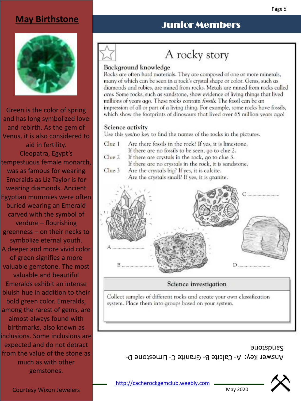#### Page 5

### **May Birthstone**



Green is the color of spring and has long symbolized love and rebirth. As the gem of Venus, it is also considered to aid in fertility. Cleopatra, Egypt's tempestuous female monarch, was as famous for wearing Emeralds as Liz Taylor is for wearing diamonds. Ancient Egyptian mummies were often buried wearing an Emerald carved with the symbol of verdure – flourishing greenness – on their necks to symbolize eternal youth. A deeper and more vivid color of green signifies a more valuable gemstone. The most valuable and beautiful Emeralds exhibit an intense bluish hue in addition to their bold green color. Emeralds, among the rarest of gems, are almost always found with birthmarks, also known as inclusions. Some inclusions are expected and do not detract from the value of the stone as much as with other gemstones.

### Junior Members

## A rocky story

#### Background knowledge

Rocks are often hard materials. They are composed of one or more minerals, many of which can be seen in a rock's crystal shape or color. Gems, such as diamonds and rubies, are mined from rocks. Metals are mined from rocks called ores. Some rocks, such as sandstone, show evidence of living things that lived millions of years ago. These rocks contain fossils. The fossil can be an impression of all or part of a living thing. For example, some rocks have fossils, which show the footprints of dinosaurs that lived over 65 million years ago!

#### Science activity

Use this yes/no key to find the names of the rocks in the pictures.

- $C<sub>ue</sub>1$ Are there fossils in the rock? If yes, it is limestone.
	- If there are no fossils to be seen, go to clue 2.
- Clue 2 If there are crystals in the rock, go to clue 3. If there are no crystals in the rock, it is sandstone.
- $C<sub>lue</sub>$  3 Are the crystals big? If yes, it is calcite. Are the crystals small? If yes, it is granite.



### Science investigation

Collect samples of different rocks and create your own classification system. Place them into groups based on your system.

> Answer Key:  $A -$  Galcite B- Granite C- Limestone D-Sandstone



May 2020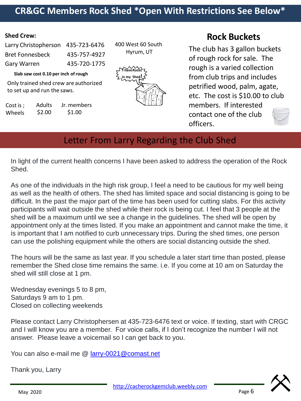### **CR&GC Members Rock Shed \*Open With Restrictions See Below\***

#### **Shed Crew:**

| Larry Christopherson 435-723-6476 |
|-----------------------------------|
| 435-757-4927                      |
| 435-720-1775                      |
|                                   |

**Slab saw cost 0.10 per inch ofrough**

Only trained shed crew are authorized to set up and run the saws.

| Cost is ; | <b>Adults</b> | Jr. members |
|-----------|---------------|-------------|
| Wheels    | \$2.00        | \$1.00      |

400 West 60 South Hyrum, UT



### **Rock Buckets**

The club has 3 gallon buckets of rough rock for sale. The rough is a varied collection from club trips and includes petrified wood, palm, agate, etc. The cost is \$10.00 to club members. If interested contact one of the club officers.

### Letter From Larry Regarding the Club Shed

In light of the current health concerns I have been asked to address the operation of the Rock Shed.

As one of the individuals in the high risk group, I feel a need to be cautious for my well being as well as the health of others. The shed has limited space and social distancing is going to be difficult. In the past the major part of the time has been used for cutting slabs. For this activity participants will wait outside the shed while their rock is being cut. I feel that 3 people at the shed will be a maximum until we see a change in the guidelines. The shed will be open by appointment only at the times listed. If you make an appointment and cannot make the time, it is important that I am notified to curb unnecessary trips. During the shed times, one person can use the polishing equipment while the others are social distancing outside the shed.

The hours will be the same as last year. If you schedule a later start time than posted, please remember the Shed close time remains the same. i.e. If you come at 10 am on Saturday the shed will still close at 1 pm.

Wednesday evenings 5 to 8 pm, Saturdays 9 am to 1 pm. Closed on collecting weekends

Please contact Larry Christophersen at 435-723-6476 text or voice. If texting, start with CRGC and I will know you are a member. For voice calls, if I don't recognize the number I will not answer. Please leave a voicemail so I can get back to you.

You can also e-mail me @ [larry-0021@comast.net](mailto:larry-0021@comast.net)

Thank you, Larry



Page 6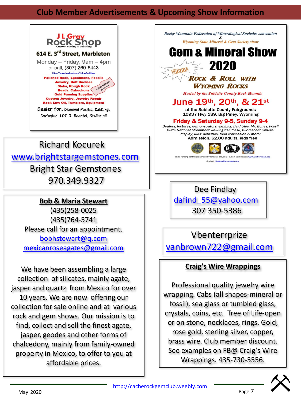### **Club Member Advertisements & Upcoming Show Information**



### Richard Kocurek [www.brightstargemstones.com](http://www.brightstargemstones.com/) Bright Star Gemstones 970.349.9327

#### **Bob & Maria Stewart**

(435)258-0025 (435)764-5741 Please call for an appointment. [bobhstewart@q.com](mailto:bobhstewart@q.com) [mexicanroseagates@gmail.com](mailto:mexicanroseagates@gmail.com)

We have been assembling a large collection of silicates, mainly agate, jasper and quartz from Mexico for over 10 years. We are now offering our collection for sale online and at various rock and gem shows. Our mission is to find, collect and sell the finest agate, jasper, geodes and other forms of chalcedony, mainly from family-owned property in Mexico, to offer to you at affordable prices.

≤ 2020 TIDELIDE **ROCK & ROLL WITH WYOMING ROCKS Hosted by the Sublette County Rock Hounds** June 19th, 20th, & 21st at the Sublette County Fairgrounds 10937 Hwy 189, Big Piney, Wyoming Friday & Saturday 9-5, Sunday 9-4 Dealers, lectures, demonstrators, exhibits, field trips, Mr. Bones, Fossil Butte National Monument walking fish fossil, fluorescent mineral display, kids' activities, food concession & more! Admission: \$2.00 adults, kids free w.VisitPinedale.org nd a funding contrib edale Travel & T Contact: jimgray@wyoming.com

Rocky Mountain Federation of Mineralogical Societies convention

**Wyoming State Mineral & Gem Society show** Gem & Mineral Show

Dee Findlay [dafind\\_55@yahoo.com](mailto:dafind_55@yahoo.com) 307 350-5386

Vbenterrprize [vanbrown722@gmail.com](mailto:vanbrown722@gmail.com)

### **Craig's Wire Wrappings**

Professional quality jewelry wire wrapping. Cabs (all shapes-mineral or fossil), sea glass or tumbled glass, crystals, coins, etc. Tree of Life-open or on stone, necklaces, rings. Gold, rose gold, sterling silver, copper, brass wire. Club member discount. See examples on FB@ Craig's Wire Wrappings. 435-730-5556.